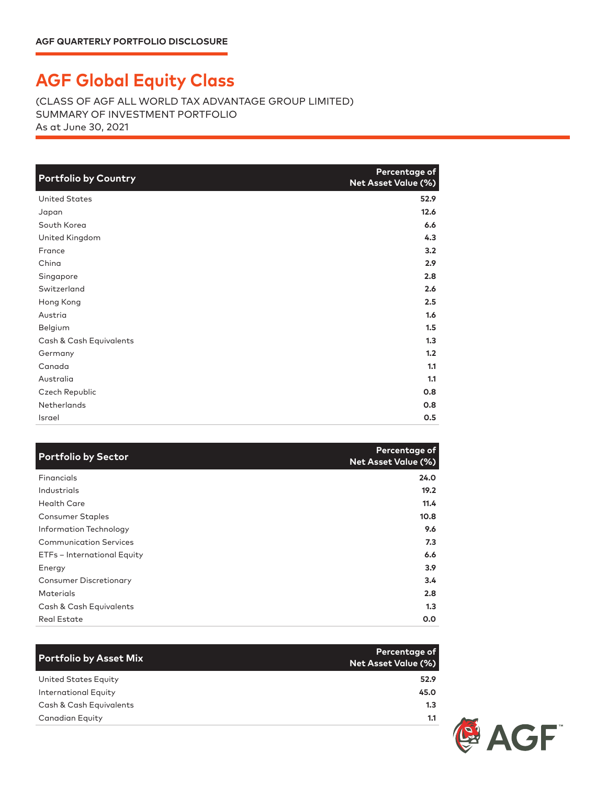## **AGF Global Equity Class**

(CLASS OF AGF ALL WORLD TAX ADVANTAGE GROUP LIMITED) SUMMARY OF INVESTMENT PORTFOLIO As at June 30, 2021

| <b>Portfolio by Country</b> | Percentage of<br>Net Asset Value (%) |
|-----------------------------|--------------------------------------|
| <b>United States</b>        | 52.9                                 |
| Japan                       | 12.6                                 |
| South Korea                 | 6.6                                  |
| United Kingdom              | 4.3                                  |
| France                      | 3.2                                  |
| China                       | 2.9                                  |
| Singapore                   | 2.8                                  |
| Switzerland                 | 2.6                                  |
| Hong Kong                   | 2.5                                  |
| Austria                     | 1.6                                  |
| Belgium                     | 1.5                                  |
| Cash & Cash Equivalents     | 1.3                                  |
| Germany                     | 1.2                                  |
| Canada                      | 1.1                                  |
| Australia                   | 1.1                                  |
| Czech Republic              | 0.8                                  |
| <b>Netherlands</b>          | 0.8                                  |
| Israel                      | 0.5                                  |

| <b>Portfolio by Sector</b>    | Percentage of<br><b>Net Asset Value (%)</b> |
|-------------------------------|---------------------------------------------|
| Financials                    | 24.0                                        |
| Industrials                   | 19.2                                        |
| <b>Health Care</b>            | 11.4                                        |
| <b>Consumer Staples</b>       | 10.8                                        |
| Information Technology        | 9.6                                         |
| <b>Communication Services</b> | 7.3                                         |
| ETFs - International Equity   | 6.6                                         |
| Energy                        | 3.9                                         |
| <b>Consumer Discretionary</b> | 3.4                                         |
| Materials                     | 2.8                                         |
| Cash & Cash Equivalents       | 1.3                                         |
| <b>Real Estate</b>            | 0.0                                         |

| <b>Portfolio by Asset Mix</b> | Percentage of<br><b>Net Asset Value (%)</b> |
|-------------------------------|---------------------------------------------|
| United States Equity          | 52.9                                        |
| International Equity          | 45.0                                        |
| Cash & Cash Equivalents       | 1.3                                         |
| <b>Canadian Equity</b>        | 1.1                                         |